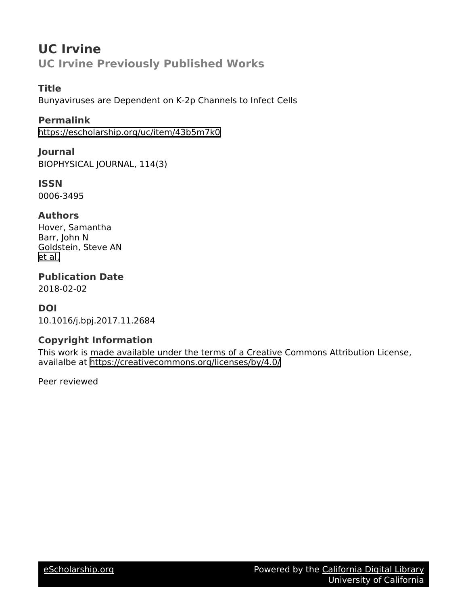# **UC Irvine UC Irvine Previously Published Works**

#### **Title**

Bunyaviruses are Dependent on K-2p Channels to Infect Cells

#### **Permalink**

<https://escholarship.org/uc/item/43b5m7k0>

#### **Journal** BIOPHYSICAL JOURNAL, 114(3)

**ISSN**

0006-3495

#### **Authors**

Hover, Samantha Barr, John N Goldstein, Steve AN [et al.](https://escholarship.org/uc/item/43b5m7k0#author)

## **Publication Date**

2018-02-02

#### **DOI**

10.1016/j.bpj.2017.11.2684

#### **Copyright Information**

This work is made available under the terms of a Creative Commons Attribution License, availalbe at <https://creativecommons.org/licenses/by/4.0/>

Peer reviewed